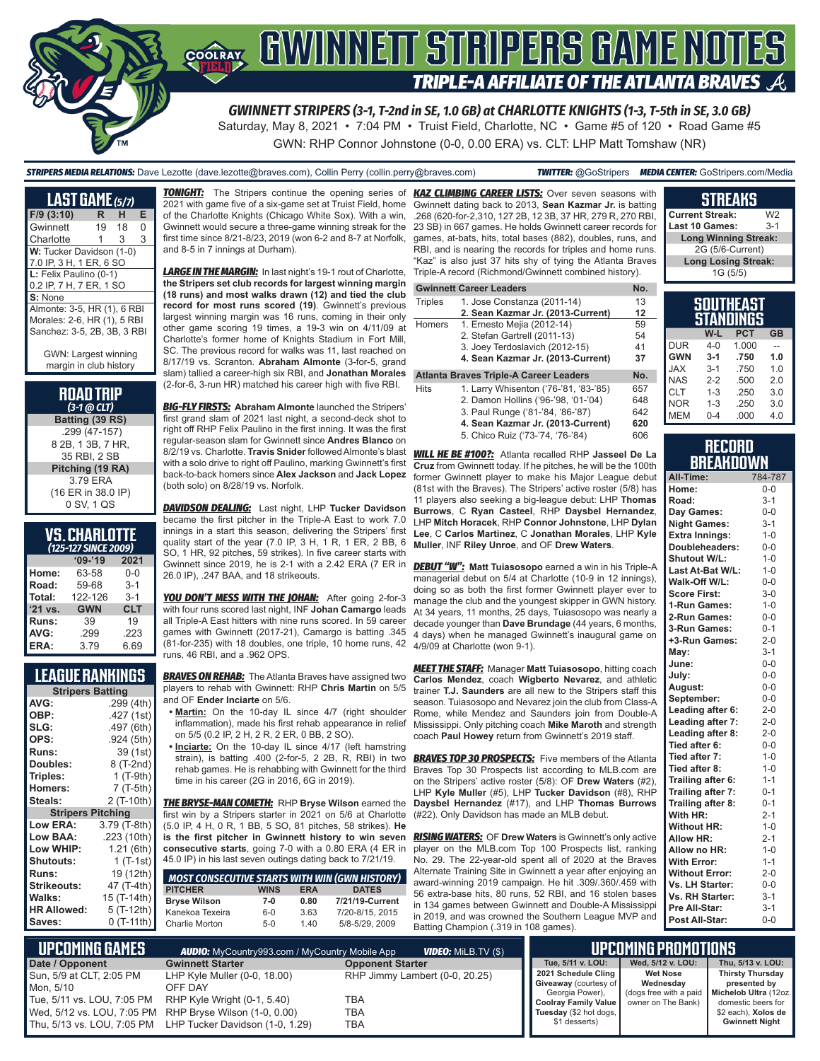

*GWINNETT STRIPERS (3-1, T-2nd in SE, 1.0 GB) at CHARLOTTE KNIGHTS (1-3, T-5th in SE, 3.0 GB)*

Saturday, May 8, 2021 • 7:04 PM • Truist Field, Charlotte, NC • Game #5 of 120 • Road Game #5 GWN: RHP Connor Johnstone (0-0, 0.00 ERA) vs. CLT: LHP Matt Tomshaw (NR)

# *STRIPERS MEDIA RELATIONS:* Dave Lezotte (dave.lezotte@braves.com), Collin Perry (collin.perry@braves.com) *TWITTER:* @GoStripers *MEDIA CENTER:* GoStripers.com/Media

| <b>LAST GAME (5/7)</b>                                                                    |    |    |   |  |  |  |  |
|-------------------------------------------------------------------------------------------|----|----|---|--|--|--|--|
| $F/9$ (3:10)                                                                              | R  | н  | Е |  |  |  |  |
| Gwinnett                                                                                  | 19 | 18 | 0 |  |  |  |  |
| Charlotte                                                                                 | 1  | 3  | 3 |  |  |  |  |
| W: Tucker Davidson (1-0)<br>7.0 IP, 3 H, 1 ER, 6 SO                                       |    |    |   |  |  |  |  |
| L: Felix Paulino (0-1)<br>0.2 IP, 7 H, 7 ER, 1 SO                                         |    |    |   |  |  |  |  |
| S: None                                                                                   |    |    |   |  |  |  |  |
| Almonte: 3-5, HR (1), 6 RBI<br>Morales: 2-6, HR (1), 5 RBI<br>Sanchez: 3-5, 2B, 3B, 3 RBI |    |    |   |  |  |  |  |

GWN: Largest winning margin in club history

#### **ROAD TRIP**  *(3-1 @ CLT)*

**Batting (39 RS)** .299 (47-157) 8 2B, 1 3B, 7 HR, 35 RBI, 2 SB **Pitching (19 RA)** 3.79 ERA (16 ER in 38.0 IP) 0 SV, 1 QS

# **VS. CHARLOTTE**

| (125-127 SINCE 2009) |            |            |  |  |  |  |  |
|----------------------|------------|------------|--|--|--|--|--|
|                      | $09 - 19$  | 2021       |  |  |  |  |  |
| Home:                | 63-58      | $0 - 0$    |  |  |  |  |  |
| Road:                | 59-68      | $3 - 1$    |  |  |  |  |  |
| Total:               | 122-126    | $3 - 1$    |  |  |  |  |  |
| $'21$ vs.            | <b>GWN</b> | <b>CLT</b> |  |  |  |  |  |
| Runs:                | 39         | 19         |  |  |  |  |  |
| AVG:                 | .299       | .223       |  |  |  |  |  |
| ERA:                 | 3.79       | 6.69       |  |  |  |  |  |

# **LEAGUE RANKINGS**

| <b>Stripers Batting</b>  |              |  |  |  |
|--------------------------|--------------|--|--|--|
| AVG:                     | .299 (4th)   |  |  |  |
| OBP:                     | .427 (1st)   |  |  |  |
| SLG:                     | .497 (6th)   |  |  |  |
| OPS:                     | .924 (5th)   |  |  |  |
| <b>Runs:</b>             | 39 (1st)     |  |  |  |
| Doubles:                 | 8 (T-2nd)    |  |  |  |
| Triples:                 | 1 $(T-9th)$  |  |  |  |
| Homers:                  | 7 (T-5th)    |  |  |  |
| Steals:                  | 2 (T-10th)   |  |  |  |
| <b>Stripers Pitching</b> |              |  |  |  |
|                          |              |  |  |  |
| <b>Low ERA:</b>          | 3.79 (T-8th) |  |  |  |
| Low BAA:                 | .223 (10th)  |  |  |  |
| Low WHIP:                | 1.21(6th)    |  |  |  |
| <b>Shutouts:</b>         | 1 (T-1st)    |  |  |  |
| <b>Runs:</b>             | 19 (12th)    |  |  |  |
| <b>Strikeouts:</b>       | 47 (T-4th)   |  |  |  |
| Walks:                   | 15 (T-14th)  |  |  |  |
| <b>HR Allowed:</b>       | 5 (T-12th)   |  |  |  |

**TONIGHT:** The Stripers continue the opening series of 2021 with game five of a six-game set at Truist Field, home of the Charlotte Knights (Chicago White Sox). With a win, Gwinnett would secure a three-game winning streak for the first time since 8/21-8/23, 2019 (won 6-2 and 8-7 at Norfolk, and 8-5 in 7 innings at Durham).

*LARGE IN THE MARGIN:* In last night's 19-1 rout of Charlotte, **the Stripers set club records for largest winning margin (18 runs) and most walks drawn (12) and tied the club record for most runs scored (19)**. Gwinnett's previous largest winning margin was 16 runs, coming in their only other game scoring 19 times, a 19-3 win on 4/11/09 at Charlotte's former home of Knights Stadium in Fort Mill, SC. The previous record for walks was 11, last reached on 8/17/19 vs. Scranton. **Abraham Almonte** (3-for-5, grand slam) tallied a career-high six RBI, and **Jonathan Morales** (2-for-6, 3-run HR) matched his career high with five RBI.

*BIG-FLY FIRSTS:* **Abraham Almonte** launched the Stripers' first grand slam of 2021 last night, a second-deck shot to right off RHP Felix Paulino in the first inning. It was the first regular-season slam for Gwinnett since **Andres Blanco** on 8/2/19 vs. Charlotte. **Travis Snider** followed Almonte's blast with a solo drive to right off Paulino, marking Gwinnett's first **Cruz** from Gwinnett today. If he pitches, he will be the 100th back-to-back homers since **Alex Jackson** and **Jack Lopez** (both solo) on 8/28/19 vs. Norfolk.

*DAVIDSON DEALING:* Last night, LHP **Tucker Davidson** became the first pitcher in the Triple-A East to work 7.0 innings in a start this season, delivering the Stripers' first quality start of the year (7.0 IP, 3 H, 1 R, 1 ER, 2 BB, 6 SO, 1 HR, 92 pitches, 59 strikes). In five career starts with Gwinnett since 2019, he is 2-1 with a 2.42 ERA (7 ER in 26.0 IP), .247 BAA, and 18 strikeouts.

**YOU DON'T MESS WITH THE JOHAN:** After going 2-for-3 with four runs scored last night, INF **Johan Camargo** leads all Triple-A East hitters with nine runs scored. In 59 career games with Gwinnett (2017-21), Camargo is batting .345 (81-for-235) with 18 doubles, one triple, 10 home runs, 42 runs, 46 RBI, and a .962 OPS.

**BRAVES ON REHAB:** The Atlanta Braves have assigned two players to rehab with Gwinnett: RHP **Chris Martin** on 5/5 and OF **Ender Inciarte** on 5/6.

- **• Martin:** On the 10-day IL since 4/7 (right shoulder inflammation), made his first rehab appearance in relief on 5/5 (0.2 IP, 2 H, 2 R, 2 ER, 0 BB, 2 SO).
- **• Inciarte:** On the 10-day IL since 4/17 (left hamstring strain), is batting .400 (2-for-5, 2 2B, R, RBI) in two rehab games. He is rehabbing with Gwinnett for the third time in his career (2G in 2016, 6G in 2019).

*THE BRYSE-MAN COMETH:* RHP **Bryse Wilson** earned the **Daysbel Hernandez** (#17), and LHP **Thomas Burrows** first win by a Stripers starter in 2021 on 5/6 at Charlotte (5.0 IP, 4 H, 0 R, 1 BB, 5 SO, 81 pitches, 58 strikes). **He is the first pitcher in Gwinnett history to win seven consecutive starts**, going 7-0 with a 0.80 ERA (4 ER in 45.0 IP) in his last seven outings dating back to 7/21/19.

| <b>MOST CONSECUTIVE STARTS WITH WIN (GWN HISTORY)</b> |             |            |                 |
|-------------------------------------------------------|-------------|------------|-----------------|
| <b>PITCHER</b>                                        | <b>WINS</b> | <b>ERA</b> | <b>DATES</b>    |
| <b>Bryse Wilson</b>                                   | 7-0         | 0.80       | 7/21/19-Current |
| Kanekoa Texeira                                       | $6-0$       | 3.63       | 7/20-8/15, 2015 |
| <b>Charlie Morton</b>                                 | $5-0$       | 140        | 5/8-5/29, 2009  |

*KAZ CLIMBING CAREER LISTS:* Over seven seasons with Gwinnett dating back to 2013, **Sean Kazmar Jr.** is batting .268 (620-for-2,310, 127 2B, 12 3B, 37 HR, 279 R, 270 RBI, 23 SB) in 667 games. He holds Gwinnett career records for games, at-bats, hits, total bases (882), doubles, runs, and RBI, and is nearing the records for triples and home runs. "Kaz" is also just 37 hits shy of tying the Atlanta Braves Triple-A record (Richmond/Gwinnett combined history).

#### **Gwinnett Career Leaders No. No.**

| <b>Triples</b> | 1. Jose Constanza (2011-14)            | 13  |
|----------------|----------------------------------------|-----|
|                | 2. Sean Kazmar Jr. (2013-Current)      | 12  |
| Homers         | 1. Ernesto Mejia (2012-14)             | 59  |
|                | 2. Stefan Gartrell (2011-13)           | 54  |
|                | 3. Joey Terdoslavich (2012-15)         | 41  |
|                | 4. Sean Kazmar Jr. (2013-Current)      | 37  |
|                | Atlanta Braves Triple-A Career Leaders | No. |
| Hits           | 1. Larry Whisenton ('76-'81, '83-'85)  | 657 |

2. Damon Hollins ('96-'98, '01-'04) 648<br>3. Paul Runge ('81-'84, '86-'87) 642 3. Paul Runge ('81-'84, '86-'87) **4. Sean Kazmar Jr. (2013-Current) 620** 5. Chico Ruiz ('73-'74, '76-'84)

*WILL HE BE #100?:* Atlanta recalled RHP **Jasseel De La**  former Gwinnett player to make his Major League debut (81st with the Braves). The Stripers' active roster (5/8) has 11 players also seeking a big-league debut: LHP **Thomas Burrows**, C **Ryan Casteel**, RHP **Daysbel Hernandez**, LHP **Mitch Horacek**, RHP **Connor Johnstone**, LHP **Dylan Lee**, C **Carlos Martinez**, C **Jonathan Morales**, LHP **Kyle Muller**, INF **Riley Unroe**, and OF **Drew Waters**.

*DEBUT "W":* **Matt Tuiasosopo** earned a win in his Triple-A managerial debut on 5/4 at Charlotte (10-9 in 12 innings), doing so as both the first former Gwinnett player ever to manage the club and the youngest skipper in GWN history. At 34 years, 11 months, 25 days, Tuiasosopo was nearly a decade younger than **Dave Brundage** (44 years, 6 months, 4 days) when he managed Gwinnett's inaugural game on 4/9/09 at Charlotte (won 9-1).

*MEET THE STAFF:* Manager **Matt Tuiasosopo**, hitting coach **Carlos Mendez**, coach **Wigberto Nevarez**, and athletic trainer **T.J. Saunders** are all new to the Stripers staff this season. Tuiasosopo and Nevarez join the club from Class-A Rome, while Mendez and Saunders join from Double-A Mississippi. Only pitching coach **Mike Maroth** and strength coach **Paul Howey** return from Gwinnett's 2019 staff.

**BRAVES TOP 30 PROSPECTS:** Five members of the Atlanta Braves Top 30 Prospects list according to MLB.com are on the Stripers' active roster (5/8): OF **Drew Waters** (#2), LHP **Kyle Muller** (#5), LHP **Tucker Davidson** (#8), RHP (#22). Only Davidson has made an MLB debut.

*RISING WATERS:* OF **Drew Waters** is Gwinnett's only active player on the MLB.com Top 100 Prospects list, ranking No. 29. The 22-year-old spent all of 2020 at the Braves Alternate Training Site in Gwinnett a year after enjoying an award-winning 2019 campaign. He hit .309/.360/.459 with 56 extra-base hits, 80 runs, 52 RBI, and 16 stolen bases in 134 games between Gwinnett and Double-A Mississippi in 2019, and was crowned the Southern League MVP and Batting Champion (.319 in 108 games).

# **STREAKS**

**Current Streak:** W2<br>**Last 10 Games:** 3-1 Last 10 Games: **Long Winning Streak:** 2G (5/6-Current) **Long Losing Streak:** 1G (5/5)

# **SOUTHEAST STANDINGS W-L PCT GB**

| DUR        | 4-0     | 1.000 |     |
|------------|---------|-------|-----|
| <b>GWN</b> | $3 - 1$ | .750  | 1.0 |
| <b>JAX</b> | $3-1$   | .750  | 1.0 |
| <b>NAS</b> | $2 - 2$ | .500  | 2.0 |
| CLT        | $1 - 3$ | .250  | 3.0 |
| <b>NOR</b> | 1-3     | .250  | 3.0 |
| <b>MEM</b> | $0 - 4$ | .000  | 4.0 |

### **RECORD BREAKDOWN**

| All-Time:             | 784-787 |
|-----------------------|---------|
| Home:                 | $0 - 0$ |
| Road:                 | $3 - 1$ |
| Day Games:            | $0-0$   |
| <b>Night Games:</b>   | $3 - 1$ |
| <b>Extra Innings:</b> | $1 - 0$ |
| Doubleheaders:        | $0 - 0$ |
| Shutout W/L:          | $1 - 0$ |
| Last At-Bat W/L:      | $1 - 0$ |
| Walk-Off W/L:         | $0 - 0$ |
| <b>Score First:</b>   | $3 - 0$ |
| 1-Run Games:          | $1 - 0$ |
| 2-Run Games:          | $0-0$   |
| 3-Run Games:          | $0 - 1$ |
| +3-Run Games:         | $2 - 0$ |
| May:                  | $3 - 1$ |
| June:                 | $0-0$   |
| July:                 | $0-0$   |
| August:               | $0-0$   |
| September:            | $0-0$   |
| Leading after 6:      | $2 - 0$ |
| Leading after 7:      | $2 - 0$ |
| Leading after 8:      | $2 - 0$ |
| Tied after 6:         | $0-0$   |
| Tied after 7:         | $1 - 0$ |
| Tied after 8:         | $1 - 0$ |
| Trailing after 6:     | $1 - 1$ |
| Trailing after 7:     | $0 - 1$ |
| Trailing after 8:     | $0 - 1$ |
| With HR:              | $2 - 1$ |
| <b>Without HR:</b>    | $1 - 0$ |
| <b>Allow HR:</b>      | $2 - 1$ |
| Allow no HR:          | $1 - 0$ |
| <b>With Error:</b>    | $1 - 1$ |
| <b>Without Error:</b> | $2 - 0$ |
| Vs. LH Starter:       | $0-0$   |
| Vs. RH Starter:       | $3 - 1$ |
| Pre All-Star:         | $3 - 1$ |
| Post All-Star:        | $0-0$   |

| I UPCOMING GAMES I                                                  | <b>AUDIO:</b> MyCountry993.com / MyCountry Mobile App                                                                                                                                              |                                                     | . UPCOMING PROMOTIONS '                                                                                                            |                                                                                                     |                                                                                                               |
|---------------------------------------------------------------------|----------------------------------------------------------------------------------------------------------------------------------------------------------------------------------------------------|-----------------------------------------------------|------------------------------------------------------------------------------------------------------------------------------------|-----------------------------------------------------------------------------------------------------|---------------------------------------------------------------------------------------------------------------|
| Date / Opponent                                                     | <b>Gwinnett Starter</b>                                                                                                                                                                            | <b>Opponent Starter</b>                             | Tue. 5/11 v. LOU:                                                                                                                  | Wed. 5/12 v. LOU:                                                                                   | Thu. 5/13 v. LOU:                                                                                             |
| Sun, 5/9 at CLT, 2:05 PM<br>Mon. 5/10<br>Tue, 5/11 vs. LOU, 7:05 PM | LHP Kyle Muller (0-0, 18.00)<br>OFF DAY<br>RHP Kyle Wright (0-1, 5.40)<br>Wed, 5/12 vs. LOU, 7:05 PM RHP Bryse Wilson (1-0, 0.00)<br>Thu, 5/13 vs. LOU, 7:05 PM    LHP Tucker Davidson (1-0, 1.29) | RHP Jimmy Lambert (0-0, 20.25)<br>TBA<br>TBA<br>TBA | 2021 Schedule Cling<br>Giveaway (courtesy of<br>Georgia Power),<br>Coolray Family Value<br>Tuesday (\$2 hot dogs,<br>\$1 desserts) | <b>Wet Nose</b><br>Wednesdav<br>dogs free with a paid   Michelob Ultra (12oz.<br>owner on The Bank) | <b>Thirsty Thursday</b><br>presented by<br>domestic beers for<br>\$2 each), Xolos de<br><b>Gwinnett Night</b> |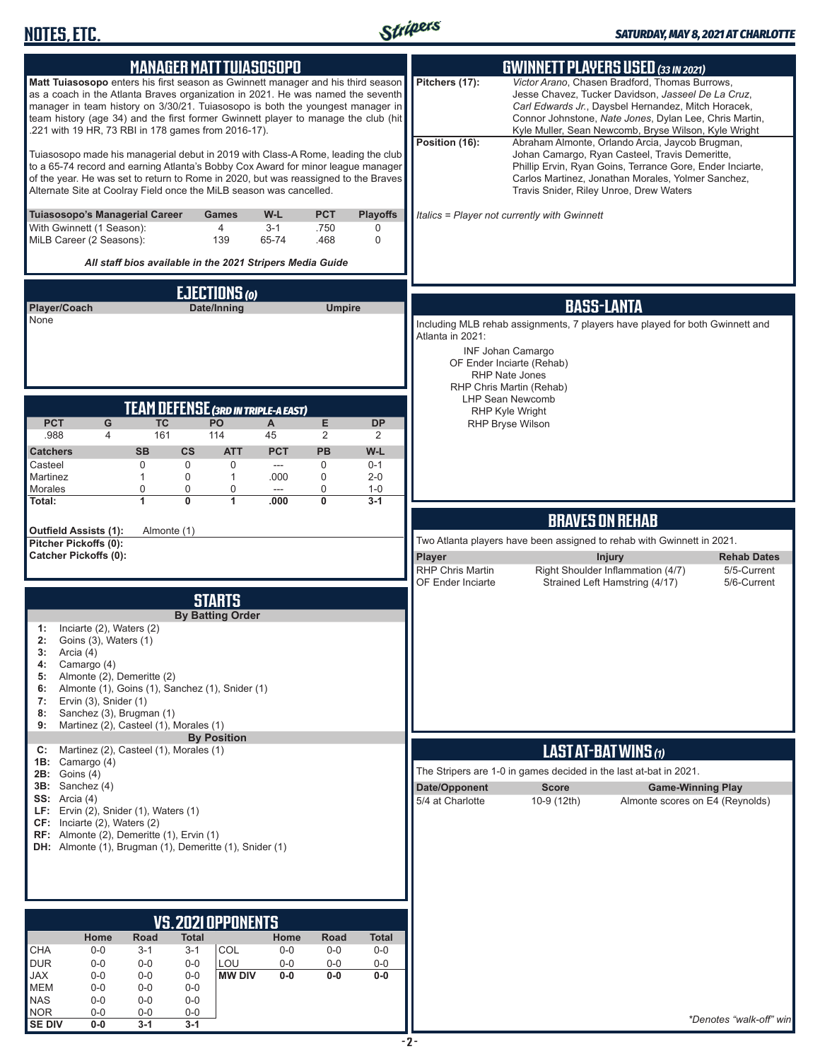

| <b>MANAGER MATT TUIASOSOPO</b>                                                                                                                                                                                                                                                                                                                                                                     | <b>GWINNETT PLAYERS USED (33 IN 2021)</b>                                                                                                                                                                                                                                                                                                                            |
|----------------------------------------------------------------------------------------------------------------------------------------------------------------------------------------------------------------------------------------------------------------------------------------------------------------------------------------------------------------------------------------------------|----------------------------------------------------------------------------------------------------------------------------------------------------------------------------------------------------------------------------------------------------------------------------------------------------------------------------------------------------------------------|
| Matt Tuiasosopo enters his first season as Gwinnett manager and his third season<br>as a coach in the Atlanta Braves organization in 2021. He was named the seventh<br>manager in team history on 3/30/21. Tuiasosopo is both the youngest manager in<br>team history (age 34) and the first former Gwinnett player to manage the club (hit<br>.221 with 19 HR, 73 RBI in 178 games from 2016-17). | Pitchers (17):<br>Victor Arano, Chasen Bradford, Thomas Burrows,<br>Jesse Chavez, Tucker Davidson, Jasseel De La Cruz,<br>Carl Edwards Jr., Daysbel Hernandez, Mitch Horacek,<br>Connor Johnstone, Nate Jones, Dylan Lee, Chris Martin,<br>Kyle Muller, Sean Newcomb, Bryse Wilson, Kyle Wright<br>Position (16):<br>Abraham Almonte, Orlando Arcia, Jaycob Brugman, |
| Tuiasosopo made his managerial debut in 2019 with Class-A Rome, leading the club<br>to a 65-74 record and earning Atlanta's Bobby Cox Award for minor league manager<br>of the year. He was set to return to Rome in 2020, but was reassigned to the Braves<br>Alternate Site at Coolray Field once the MiLB season was cancelled.                                                                 | Johan Camargo, Ryan Casteel, Travis Demeritte,<br>Phillip Ervin, Ryan Goins, Terrance Gore, Ender Inciarte,<br>Carlos Martinez, Jonathan Morales, Yolmer Sanchez,<br>Travis Snider, Riley Unroe, Drew Waters                                                                                                                                                         |
| Tuiasosopo's Managerial Career<br>W-L<br>PCT<br><b>Playoffs</b><br><b>Games</b><br>4<br>With Gwinnett (1 Season):<br>$3 - 1$<br>.750<br>0<br>MiLB Career (2 Seasons):<br>65-74<br>139<br>.468<br>0<br>All staff bios available in the 2021 Stripers Media Guide                                                                                                                                    | Italics = Player not currently with Gwinnett                                                                                                                                                                                                                                                                                                                         |
| EJECTIONS (0)                                                                                                                                                                                                                                                                                                                                                                                      |                                                                                                                                                                                                                                                                                                                                                                      |
| Player/Coach<br>Date/Inning<br><b>Umpire</b>                                                                                                                                                                                                                                                                                                                                                       | <b>BASS-LANTA</b>                                                                                                                                                                                                                                                                                                                                                    |
| None                                                                                                                                                                                                                                                                                                                                                                                               | Including MLB rehab assignments, 7 players have played for both Gwinnett and<br>Atlanta in 2021:<br><b>INF Johan Camargo</b><br>OF Ender Inciarte (Rehab)<br>RHP Nate Jones                                                                                                                                                                                          |
|                                                                                                                                                                                                                                                                                                                                                                                                    | RHP Chris Martin (Rehab)<br><b>LHP Sean Newcomb</b>                                                                                                                                                                                                                                                                                                                  |
| <b>TEAM DEFENSE (3RD IN TRIPLE-A EAST)</b><br><b>TC</b><br>PO<br><b>PCT</b><br>G<br>Е<br><b>DP</b><br>A                                                                                                                                                                                                                                                                                            | RHP Kyle Wright<br>RHP Bryse Wilson                                                                                                                                                                                                                                                                                                                                  |
| .988<br>161<br>45<br>2<br>4<br>114<br>2<br><b>PCT</b><br><b>PB</b><br>W-L<br><b>Catchers</b><br><b>SB</b><br>$\mathsf{cs}$<br><b>ATT</b>                                                                                                                                                                                                                                                           |                                                                                                                                                                                                                                                                                                                                                                      |
| $\mathbf 0$<br>$\mathbf 0$<br>0<br>$\mathbf 0$<br>Casteel<br>$0 - 1$<br>---                                                                                                                                                                                                                                                                                                                        |                                                                                                                                                                                                                                                                                                                                                                      |
| Martinez<br>$\mathbf 0$<br>0<br>$\mathbf{1}$<br>$\mathbf{1}$<br>.000<br>$2 - 0$<br>Morales<br>0<br>0<br>0<br>0<br>$1 - 0$<br>---                                                                                                                                                                                                                                                                   |                                                                                                                                                                                                                                                                                                                                                                      |
| $\overline{1}$<br>$\overline{0}$<br>1<br>0<br>$3 - 1$<br>Total:<br>.000                                                                                                                                                                                                                                                                                                                            |                                                                                                                                                                                                                                                                                                                                                                      |
| Outfield Assists (1):<br>Almonte (1)                                                                                                                                                                                                                                                                                                                                                               | <b>BRAVES ON REHAB</b><br>Two Atlanta players have been assigned to rehab with Gwinnett in 2021.                                                                                                                                                                                                                                                                     |
| Pitcher Pickoffs (0):<br><b>Catcher Pickoffs (0):</b>                                                                                                                                                                                                                                                                                                                                              | Player<br><b>Injury</b><br><b>Rehab Dates</b>                                                                                                                                                                                                                                                                                                                        |
|                                                                                                                                                                                                                                                                                                                                                                                                    |                                                                                                                                                                                                                                                                                                                                                                      |
|                                                                                                                                                                                                                                                                                                                                                                                                    | <b>RHP Chris Martin</b><br>Right Shoulder Inflammation (4/7)<br>5/5-Current                                                                                                                                                                                                                                                                                          |
|                                                                                                                                                                                                                                                                                                                                                                                                    | OF Ender Inciarte<br>Strained Left Hamstring (4/17)<br>5/6-Current                                                                                                                                                                                                                                                                                                   |
| <b>STARTS</b><br><b>By Batting Order</b><br>Inciarte (2), Waters (2)<br>1:<br>2:<br>Goins (3), Waters (1)<br>3:<br>Arcia (4)<br>Camargo (4)<br>4:<br>Almonte (2), Demeritte (2)<br>5:<br>Almonte (1), Goins (1), Sanchez (1), Snider (1)<br>6:<br>Ervin (3), Snider (1)<br>7:<br>Sanchez (3), Brugman (1)<br>8:<br>Martinez (2), Casteel (1), Morales (1)<br>9:                                    |                                                                                                                                                                                                                                                                                                                                                                      |
| <b>By Position</b><br>Martinez (2), Casteel (1), Morales (1)<br>C:                                                                                                                                                                                                                                                                                                                                 |                                                                                                                                                                                                                                                                                                                                                                      |
| <b>1B:</b> Camargo $(4)$                                                                                                                                                                                                                                                                                                                                                                           | <b>LAST AT-BAT WINS (1)</b><br>The Stripers are 1-0 in games decided in the last at-bat in 2021.                                                                                                                                                                                                                                                                     |
| $2B:$ Goins $(4)$<br>$3B:$ Sanchez $(4)$                                                                                                                                                                                                                                                                                                                                                           | Date/Opponent<br><b>Score</b><br><b>Game-Winning Play</b>                                                                                                                                                                                                                                                                                                            |
| SS: Arcia $(4)$<br>LF: Ervin $(2)$ , Snider $(1)$ , Waters $(1)$<br>$CF:$ Inciarte (2), Waters (2)<br>RF: Almonte (2), Demeritte (1), Ervin (1)<br><b>DH:</b> Almonte (1), Brugman (1), Demeritte (1), Snider (1)                                                                                                                                                                                  | 5/4 at Charlotte<br>10-9 (12th)<br>Almonte scores on E4 (Reynolds)                                                                                                                                                                                                                                                                                                   |
|                                                                                                                                                                                                                                                                                                                                                                                                    |                                                                                                                                                                                                                                                                                                                                                                      |
|                                                                                                                                                                                                                                                                                                                                                                                                    |                                                                                                                                                                                                                                                                                                                                                                      |
| VS. 2021 OPPONENTS<br>Road<br><b>Total</b><br>Home<br>Home<br>Road<br>Total                                                                                                                                                                                                                                                                                                                        |                                                                                                                                                                                                                                                                                                                                                                      |
| <b>CHA</b><br>COL<br>$0-0$<br>$3 - 1$<br>$0-0$<br>$0-0$<br>$0-0$<br>3-1                                                                                                                                                                                                                                                                                                                            |                                                                                                                                                                                                                                                                                                                                                                      |
| <b>DUR</b><br>LOU<br>$0-0$<br>$0-0$<br>$0-0$<br>$0-0$<br>$0-0$<br>$0-0$<br><b>JAX</b><br>$0 - 0$<br><b>MW DIV</b><br>$0-0$<br>$0-0$<br>$0-0$<br>$0 - 0$<br>$0-0$                                                                                                                                                                                                                                   |                                                                                                                                                                                                                                                                                                                                                                      |
| <b>MEM</b><br>$0-0$<br>$0-0$<br>$0-0$<br><b>NAS</b><br>$0 - 0$<br>$0-0$<br>$0-0$<br><b>NOR</b>                                                                                                                                                                                                                                                                                                     |                                                                                                                                                                                                                                                                                                                                                                      |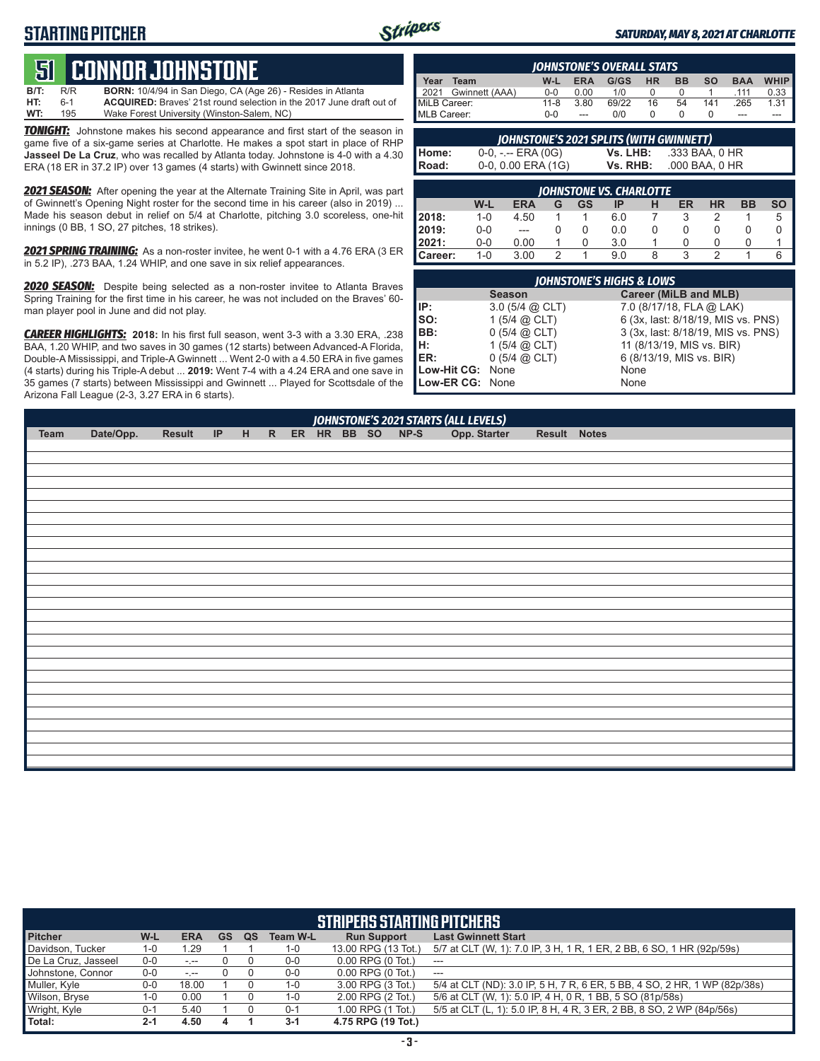# **STARTING PITCHER**



#### *SATURDAY, MAY 8, 2021 AT CHARLOTTE*

# **51 CONNOR JOHNST**

**B/T:** R/R **BORN:** 10/4/94 in San Diego, CA (Age 26) - Resides in Atlanta ACQUIRED: Braves' 21st round selection in the 2017 June draft out of **WT:** 195 Wake Forest University (Winston-Salem, NC)

*TONIGHT:* Johnstone makes his second appearance and first start of the season in game five of a six-game series at Charlotte. He makes a spot start in place of RHP **Jasseel De La Cruz**, who was recalled by Atlanta today. Johnstone is 4-0 with a 4.30 ERA (18 ER in 37.2 IP) over 13 games (4 starts) with Gwinnett since 2018.

*2021 SEASON:* After opening the year at the Alternate Training Site in April, was part of Gwinnett's Opening Night roster for the second time in his career (also in 2019) ... Made his season debut in relief on 5/4 at Charlotte, pitching 3.0 scoreless, one-hit innings (0 BB, 1 SO, 27 pitches, 18 strikes).

*2021 SPRING TRAINING:* As a non-roster invitee, he went 0-1 with a 4.76 ERA (3 ER in 5.2 IP), .273 BAA, 1.24 WHIP, and one save in six relief appearances.

*2020 SEASON:* Despite being selected as a non-roster invitee to Atlanta Braves Spring Training for the first time in his career, he was not included on the Braves' 60 man player pool in June and did not play.

*CAREER HIGHLIGHTS:* **2018:** In his first full season, went 3-3 with a 3.30 ERA, .238 BAA, 1.20 WHIP, and two saves in 30 games (12 starts) between Advanced-A Florida, Double-A Mississippi, and Triple-A Gwinnett ... Went 2-0 with a 4.50 ERA in five games (4 starts) during his Triple-A debut ... **2019:** Went 7-4 with a 4.24 ERA and one save in 35 games (7 starts) between Mississippi and Gwinnett ... Played for Scottsdale of the Arizona Fall League (2-3, 3.27 ERA in 6 starts).

| <b>IOHNSTONE'S OVERALL STATS</b> |          |            |       |           |           |           |            |             |
|----------------------------------|----------|------------|-------|-----------|-----------|-----------|------------|-------------|
| Year<br>Team                     | W-L      | <b>ERA</b> | G/GS  | <b>HR</b> | <b>BB</b> | <b>SO</b> | <b>BAA</b> | <b>WHIP</b> |
| 2021 Gwinnett (AAA)              | $0 - 0$  | 0.00       | 1/0   |           |           |           | .111       | 0.33        |
| MiLB Career:                     | $11 - 8$ | 3.80       | 69/22 | 16        | 54        | 141       | .265       | 1.31        |
| MLB Career:                      | ი-ი      | ---        | 0/0   |           |           |           | ---        |             |

|              | JOHNSTONE'S 2021 SPLITS (WITH GWINNETT) |          |                |
|--------------|-----------------------------------------|----------|----------------|
| Home:        | $0-0, - -$ ERA (0G)                     | Vs. LHB: | .333 BAA, 0 HR |
| <b>Road:</b> | $0-0$ , $0.00$ ERA $(1G)$               | Vs. RHB: | .000 BAA, 0 HR |

|              |         |            |   |    | <b>JOHNSTONE VS. CHARLOTTE</b> |   |    |           |           |           |
|--------------|---------|------------|---|----|--------------------------------|---|----|-----------|-----------|-----------|
|              | W-L     | <b>ERA</b> | G | GS | IP                             | н | ER | <b>HR</b> | <b>BB</b> | <b>SO</b> |
| <b>2018:</b> | $1 - 0$ | 4.50       |   |    | 6.0                            |   |    |           |           | 5         |
| 12019:       | $0 - 0$ | $---$      |   |    | 0.0                            |   |    |           |           |           |
| 12021:       | $0-0$   | 0.00       |   |    | 3.0                            |   |    |           |           |           |
| Career:      | 1-0     | 3.00       | C |    | 9.0                            |   | ঽ  |           |           | 6         |

| <b>JOHNSTONE'S HIGHS &amp; LOWS</b>  |                          |                                    |  |  |  |  |  |  |
|--------------------------------------|--------------------------|------------------------------------|--|--|--|--|--|--|
|                                      | <b>Season</b>            | <b>Career (MiLB and MLB)</b>       |  |  |  |  |  |  |
|                                      | $3.0$ (5/4 @ CLT)        | 7.0 (8/17/18, FLA @ LAK)           |  |  |  |  |  |  |
|                                      | 1 $(5/4)$ ( $(2)$ CLT)   | 6 (3x, last: 8/18/19, MIS vs. PNS) |  |  |  |  |  |  |
|                                      | 0(5/4 @ CLT)             | 3 (3x, last: 8/18/19, MIS vs. PNS) |  |  |  |  |  |  |
|                                      | 1 $(5/4)$ ( $\odot$ CLT) | 11 (8/13/19, MIS vs. BIR)          |  |  |  |  |  |  |
| IP:<br>SO:<br>BB:<br>H:<br>H:<br>ER: | 0(5/4 @ CLT)             | 6 (8/13/19, MIS vs. BIR)           |  |  |  |  |  |  |
| Low-Hit CG: None                     |                          | None                               |  |  |  |  |  |  |
| Low-ER CG: None                      |                          | None                               |  |  |  |  |  |  |

| Team | Date/Opp. |  |  |  |  | /OHNSTONE'S 2021 STARTS (ALL LEVELS)<br>Result IP H R ER HR BB SO NP-S Opp. Starter | Result Notes |  |
|------|-----------|--|--|--|--|-------------------------------------------------------------------------------------|--------------|--|
|      |           |  |  |  |  |                                                                                     |              |  |
|      |           |  |  |  |  |                                                                                     |              |  |
|      |           |  |  |  |  |                                                                                     |              |  |
|      |           |  |  |  |  |                                                                                     |              |  |
|      |           |  |  |  |  |                                                                                     |              |  |
|      |           |  |  |  |  |                                                                                     |              |  |
|      |           |  |  |  |  |                                                                                     |              |  |
|      |           |  |  |  |  |                                                                                     |              |  |
|      |           |  |  |  |  |                                                                                     |              |  |
|      |           |  |  |  |  |                                                                                     |              |  |
|      |           |  |  |  |  |                                                                                     |              |  |
|      |           |  |  |  |  |                                                                                     |              |  |
|      |           |  |  |  |  |                                                                                     |              |  |
|      |           |  |  |  |  |                                                                                     |              |  |
|      |           |  |  |  |  |                                                                                     |              |  |
|      |           |  |  |  |  |                                                                                     |              |  |
|      |           |  |  |  |  |                                                                                     |              |  |
|      |           |  |  |  |  |                                                                                     |              |  |
|      |           |  |  |  |  |                                                                                     |              |  |
|      |           |  |  |  |  |                                                                                     |              |  |
|      |           |  |  |  |  |                                                                                     |              |  |
|      |           |  |  |  |  |                                                                                     |              |  |
|      |           |  |  |  |  |                                                                                     |              |  |
|      |           |  |  |  |  |                                                                                     |              |  |
|      |           |  |  |  |  |                                                                                     |              |  |
|      |           |  |  |  |  |                                                                                     |              |  |
|      |           |  |  |  |  |                                                                                     |              |  |

| <b>STRIPERS STARTING PITCHERS</b> |         |            |           |    |                 |                       |                                                                           |  |  |  |
|-----------------------------------|---------|------------|-----------|----|-----------------|-----------------------|---------------------------------------------------------------------------|--|--|--|
| <b>Pitcher</b>                    | W-L     | <b>ERA</b> | <b>GS</b> | QS | <b>Team W-L</b> | <b>Run Support</b>    | <b>Last Gwinnett Start</b>                                                |  |  |  |
| Davidson, Tucker                  | 1-0     | 1.29       |           |    | 1-0             | 13.00 RPG (13 Tot.)   | 5/7 at CLT (W, 1): 7.0 IP, 3 H, 1 R, 1 ER, 2 BB, 6 SO, 1 HR (92p/59s)     |  |  |  |
| De La Cruz, Jasseel               | $0 - 0$ | $-1 - 1$   |           |    | $0-0$           | $0.00$ RPG $(0$ Tot.) | $---$                                                                     |  |  |  |
| Johnstone, Connor                 | $0 - 0$ | $-1 - 1$   |           |    | $0-0$           | $0.00$ RPG $(0$ Tot.) | $---$                                                                     |  |  |  |
| Muller, Kyle                      | $0 - 0$ | 18.00      |           |    | $1 - 0$         | 3.00 RPG (3 Tot.)     | 5/4 at CLT (ND): 3.0 IP, 5 H, 7 R, 6 ER, 5 BB, 4 SO, 2 HR, 1 WP (82p/38s) |  |  |  |
| Wilson, Bryse                     | 1-0     | 0.00       |           |    | 1-0             | 2.00 RPG (2 Tot.)     | 5/6 at CLT (W, 1): 5.0 IP, 4 H, 0 R, 1 BB, 5 SO (81p/58s)                 |  |  |  |
| Wright, Kyle                      | $0 - 1$ | 5.40       |           |    | $0 - 1$         | 1.00 RPG (1 Tot.)     | 5/5 at CLT (L, 1): 5.0 IP, 8 H, 4 R, 3 ER, 2 BB, 8 SO, 2 WP (84p/56s)     |  |  |  |
| Total:                            | $2 - 1$ | 4.50       | 4         |    | $3-1$           | 4.75 RPG (19 Tot.)    |                                                                           |  |  |  |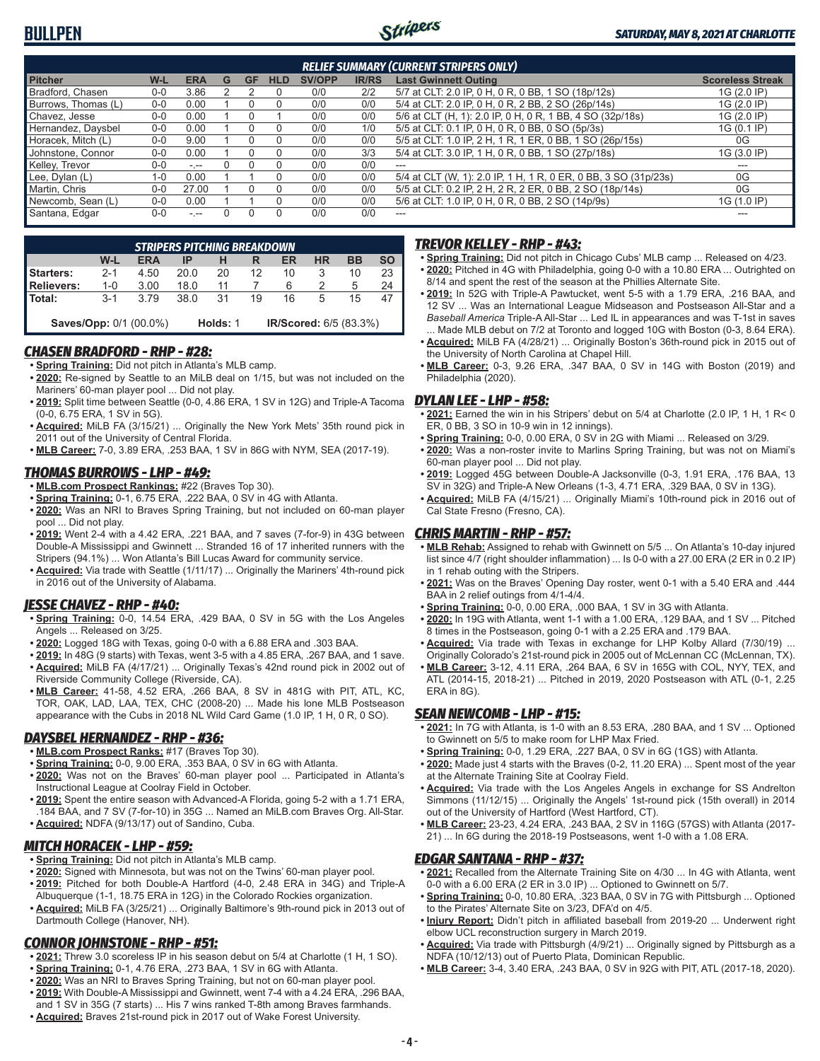

| <b>RELIEF SUMMARY (CURRENT STRIPERS ONLY)</b> |         |            |   |           |            |               |              |                                                                 |                         |
|-----------------------------------------------|---------|------------|---|-----------|------------|---------------|--------------|-----------------------------------------------------------------|-------------------------|
| <b>Pitcher</b>                                | W-L     | <b>ERA</b> | G | <b>GF</b> | <b>HLD</b> | <b>SV/OPP</b> | <b>IR/RS</b> | <b>Last Gwinnett Outing</b>                                     | <b>Scoreless Streak</b> |
| Bradford, Chasen                              | 0-0     | 3.86       |   |           |            | 0/0           | 2/2          | 5/7 at CLT: 2.0 IP, 0 H, 0 R, 0 BB, 1 SO (18p/12s)              | 1G (2.0 IP)             |
| Burrows, Thomas (L)                           | $0 - 0$ | 0.00       |   |           |            | 0/0           | 0/0          | 5/4 at CLT: 2.0 IP, 0 H, 0 R, 2 BB, 2 SO (26p/14s)              | 1G (2.0 IP)             |
| Chavez, Jesse                                 | 0-0     | 0.00       |   |           |            | 0/0           | 0/0          | 5/6 at CLT (H, 1): 2.0 IP, 0 H, 0 R, 1 BB, 4 SO (32p/18s)       | 1G (2.0 IP)             |
| Hernandez, Daysbel                            | $0 - 0$ | 0.00       |   |           |            | 0/0           | 1/0          | 5/5 at CLT: 0.1 IP, 0 H, 0 R, 0 BB, 0 SO (5p/3s)                | 1G (0.1 IP)             |
| Horacek, Mitch (L)                            | $0 - 0$ | 9.00       |   |           |            | 0/0           | 0/0          | 5/5 at CLT: 1.0 IP, 2 H, 1 R, 1 ER, 0 BB, 1 SO (26p/15s)        | 0G                      |
| Johnstone, Connor                             | $0 - 0$ | 0.00       |   |           | 0          | 0/0           | 3/3          | 5/4 at CLT: 3.0 IP, 1 H, 0 R, 0 BB, 1 SO (27p/18s)              | 1G (3.0 IP)             |
| Kelley, Trevor                                | $0 - 0$ | $ -$       |   |           |            | 0/0           | 0/0          | $- - -$                                                         | ---                     |
| Lee, Dylan (L)                                | $1 - 0$ | 0.00       |   |           |            | 0/0           | 0/0          | 5/4 at CLT (W, 1): 2.0 IP, 1 H, 1 R, 0 ER, 0 BB, 3 SO (31p/23s) | 0G                      |
| Martin, Chris                                 | $0 - 0$ | 27.00      |   |           | $\Omega$   | 0/0           | 0/0          | 5/5 at CLT: 0.2 IP, 2 H, 2 R, 2 ER, 0 BB, 2 SO (18p/14s)        | 0G                      |
| Newcomb, Sean (L)                             | $0 - 0$ | 0.00       |   |           |            | 0/0           | 0/0          | 5/6 at CLT: 1.0 IP, 0 H, 0 R, 0 BB, 2 SO (14p/9s)               | 1G (1.0 IP)             |
| Santana, Edgar                                | $0-0$   | $ -$       |   |           | 0          | 0/0           | 0/0          | ---                                                             |                         |

| <b>STRIPERS PITCHING BREAKDOWN</b> |         |                               |      |          |    |                               |           |           |    |  |
|------------------------------------|---------|-------------------------------|------|----------|----|-------------------------------|-----------|-----------|----|--|
|                                    | W-L     | <b>ERA</b>                    | IP   |          | R  | ER                            | <b>HR</b> | <b>BB</b> | SΟ |  |
| Starters:                          | $2 - 1$ | 4.50                          | 20.0 | 20       | 12 | 10                            | 3         | 10        | 23 |  |
| Relievers:                         | 1-0     | 3.00                          | 18.0 | 11       |    | 6                             |           | 5         |    |  |
| Total:                             | $3-1$   | 3.79                          | 38.0 | 31       | 19 | 16                            | 5         | 15        |    |  |
|                                    |         | <b>Saves/Opp: 0/1 (00.0%)</b> |      | Holds: 1 |    | <b>IR/Scored: 6/5 (83.3%)</b> |           |           |    |  |

#### *CHASEN BRADFORD - RHP - #28:*

**• Spring Training:** Did not pitch in Atlanta's MLB camp.

- **• 2020:** Re-signed by Seattle to an MiLB deal on 1/15, but was not included on the Mariners' 60-man player pool ... Did not play.
- **• 2019:** Split time between Seattle (0-0, 4.86 ERA, 1 SV in 12G) and Triple-A Tacoma (0-0, 6.75 ERA, 1 SV in 5G).
- **• Acquired:** MiLB FA (3/15/21) ... Originally the New York Mets' 35th round pick in 2011 out of the University of Central Florida.
- **• MLB Career:** 7-0, 3.89 ERA, .253 BAA, 1 SV in 86G with NYM, SEA (2017-19).

### *THOMAS BURROWS - LHP - #49:*

- **• MLB.com Prospect Rankings:** #22 (Braves Top 30).
- **• Spring Training:** 0-1, 6.75 ERA, .222 BAA, 0 SV in 4G with Atlanta.
- **• 2020:** Was an NRI to Braves Spring Training, but not included on 60-man player pool ... Did not play.
- **• 2019:** Went 2-4 with a 4.42 ERA, .221 BAA, and 7 saves (7-for-9) in 43G between Double-A Mississippi and Gwinnett ... Stranded 16 of 17 inherited runners with the Stripers (94.1%) ... Won Atlanta's Bill Lucas Award for community service.
- **• Acquired:** Via trade with Seattle (1/11/17) ... Originally the Mariners' 4th-round pick in 2016 out of the University of Alabama.

# *JESSE CHAVEZ - RHP - #40:*

- **• Spring Training:** 0-0, 14.54 ERA, .429 BAA, 0 SV in 5G with the Los Angeles Angels ... Released on 3/25.
- **• 2020:** Logged 18G with Texas, going 0-0 with a 6.88 ERA and .303 BAA.
- **• 2019:** In 48G (9 starts) with Texas, went 3-5 with a 4.85 ERA, .267 BAA, and 1 save. **• Acquired:** MiLB FA (4/17/21) ... Originally Texas's 42nd round pick in 2002 out of Riverside Community College (Riverside, CA).
- **• MLB Career:** 41-58, 4.52 ERA, .266 BAA, 8 SV in 481G with PIT, ATL, KC, TOR, OAK, LAD, LAA, TEX, CHC (2008-20) ... Made his lone MLB Postseason appearance with the Cubs in 2018 NL Wild Card Game (1.0 IP, 1 H, 0 R, 0 SO).

# *DAYSBEL HERNANDEZ - RHP - #36:*

- **• MLB.com Prospect Ranks:** #17 (Braves Top 30).
- **• Spring Training:** 0-0, 9.00 ERA, .353 BAA, 0 SV in 6G with Atlanta.
- **• 2020:** Was not on the Braves' 60-man player pool ... Participated in Atlanta's Instructional League at Coolray Field in October.
- **• 2019:** Spent the entire season with Advanced-A Florida, going 5-2 with a 1.71 ERA, .184 BAA, and 7 SV (7-for-10) in 35G ... Named an MiLB.com Braves Org. All-Star.
- **• Acquired:** NDFA (9/13/17) out of Sandino, Cuba.

### *MITCH HORACEK - LHP - #59:*

- **• Spring Training:** Did not pitch in Atlanta's MLB camp.
- **• 2020:** Signed with Minnesota, but was not on the Twins' 60-man player pool. **• 2019:** Pitched for both Double-A Hartford (4-0, 2.48 ERA in 34G) and Triple-A
- Albuquerque (1-1, 18.75 ERA in 12G) in the Colorado Rockies organization. **• Acquired:** MiLB FA (3/25/21) ... Originally Baltimore's 9th-round pick in 2013 out of Dartmouth College (Hanover, NH).

# *CONNOR JOHNSTONE - RHP - #51:*

- **• 2021:** Threw 3.0 scoreless IP in his season debut on 5/4 at Charlotte (1 H, 1 SO).
- **• Spring Training:** 0-1, 4.76 ERA, .273 BAA, 1 SV in 6G with Atlanta.
- **• 2020:** Was an NRI to Braves Spring Training, but not on 60-man player pool.
- **• 2019:** With Double-A Mississippi and Gwinnett, went 7-4 with a 4.24 ERA, .296 BAA, and 1 SV in 35G (7 starts) ... His 7 wins ranked T-8th among Braves farmhands.
- **• Acquired:** Braves 21st-round pick in 2017 out of Wake Forest University.

### *TREVOR KELLEY - RHP - #43:*

- **• Spring Training:** Did not pitch in Chicago Cubs' MLB camp ... Released on 4/23. **• 2020:** Pitched in 4G with Philadelphia, going 0-0 with a 10.80 ERA ... Outrighted on
- 8/14 and spent the rest of the season at the Phillies Alternate Site. **• 2019:** In 52G with Triple-A Pawtucket, went 5-5 with a 1.79 ERA, .216 BAA, and 12 SV ... Was an International League Midseason and Postseason All-Star and a *Baseball America* Triple-A All-Star ... Led IL in appearances and was T-1st in saves
- Made MLB debut on 7/2 at Toronto and logged 10G with Boston (0-3, 8.64 ERA). **• Acquired:** MiLB FA (4/28/21) ... Originally Boston's 36th-round pick in 2015 out of the University of North Carolina at Chapel Hill.
- **• MLB Career:** 0-3, 9.26 ERA, .347 BAA, 0 SV in 14G with Boston (2019) and Philadelphia (2020).

#### *DYLAN LEE - LHP - #58:*

- **• 2021:** Earned the win in his Stripers' debut on 5/4 at Charlotte (2.0 IP, 1 H, 1 R< 0 ER, 0 BB, 3 SO in 10-9 win in 12 innings).
- **• Spring Training:** 0-0, 0.00 ERA, 0 SV in 2G with Miami ... Released on 3/29.
- **• 2020:** Was a non-roster invite to Marlins Spring Training, but was not on Miami's 60-man player pool ... Did not play.
- **• 2019:** Logged 45G between Double-A Jacksonville (0-3, 1.91 ERA, .176 BAA, 13 SV in 32G) and Triple-A New Orleans (1-3, 4.71 ERA, .329 BAA, 0 SV in 13G).
- **• Acquired:** MiLB FA (4/15/21) ... Originally Miami's 10th-round pick in 2016 out of Cal State Fresno (Fresno, CA).

### *CHRIS MARTIN - RHP - #57:*

- **• MLB Rehab:** Assigned to rehab with Gwinnett on 5/5 ... On Atlanta's 10-day injured list since 4/7 (right shoulder inflammation) ... Is 0-0 with a 27.00 ERA (2 ER in 0.2 IP) in 1 rehab outing with the Stripers.
- **• 2021:** Was on the Braves' Opening Day roster, went 0-1 with a 5.40 ERA and .444 BAA in 2 relief outings from 4/1-4/4.
- **• Spring Training:** 0-0, 0.00 ERA, .000 BAA, 1 SV in 3G with Atlanta.
- **• 2020:** In 19G with Atlanta, went 1-1 with a 1.00 ERA, .129 BAA, and 1 SV ... Pitched 8 times in the Postseason, going 0-1 with a 2.25 ERA and .179 BAA.
- **• Acquired:** Via trade with Texas in exchange for LHP Kolby Allard (7/30/19) ... Originally Colorado's 21st-round pick in 2005 out of McLennan CC (McLennan, TX).
- **• MLB Career:** 3-12, 4.11 ERA, .264 BAA, 6 SV in 165G with COL, NYY, TEX, and ATL (2014-15, 2018-21) ... Pitched in 2019, 2020 Postseason with ATL (0-1, 2.25 ERA in 8G).

### *SEAN NEWCOMB - LHP - #15:*

- **• 2021:** In 7G with Atlanta, is 1-0 with an 8.53 ERA, .280 BAA, and 1 SV ... Optioned to Gwinnett on 5/5 to make room for LHP Max Fried.
- **• Spring Training:** 0-0, 1.29 ERA, .227 BAA, 0 SV in 6G (1GS) with Atlanta.
- **• 2020:** Made just 4 starts with the Braves (0-2, 11.20 ERA) ... Spent most of the year at the Alternate Training Site at Coolray Field.
- **• Acquired:** Via trade with the Los Angeles Angels in exchange for SS Andrelton Simmons (11/12/15) ... Originally the Angels' 1st-round pick (15th overall) in 2014 out of the University of Hartford (West Hartford, CT).
- **• MLB Career:** 23-23, 4.24 ERA, .243 BAA, 2 SV in 116G (57GS) with Atlanta (2017- 21) ... In 6G during the 2018-19 Postseasons, went 1-0 with a 1.08 ERA.

### *EDGAR SANTANA - RHP - #37:*

- **• 2021:** Recalled from the Alternate Training Site on 4/30 ... In 4G with Atlanta, went 0-0 with a 6.00 ERA (2 ER in 3.0 IP) ... Optioned to Gwinnett on 5/7.
- **• Spring Training:** 0-0, 10.80 ERA, .323 BAA, 0 SV in 7G with Pittsburgh ... Optioned to the Pirates' Alternate Site on 3/23, DFA'd on 4/5.
- **• Injury Report:** Didn't pitch in affiliated baseball from 2019-20 ... Underwent right elbow UCL reconstruction surgery in March 2019.
- **• Acquired:** Via trade with Pittsburgh (4/9/21) ... Originally signed by Pittsburgh as a NDFA (10/12/13) out of Puerto Plata, Dominican Republic.
- **• MLB Career:** 3-4, 3.40 ERA, .243 BAA, 0 SV in 92G with PIT, ATL (2017-18, 2020).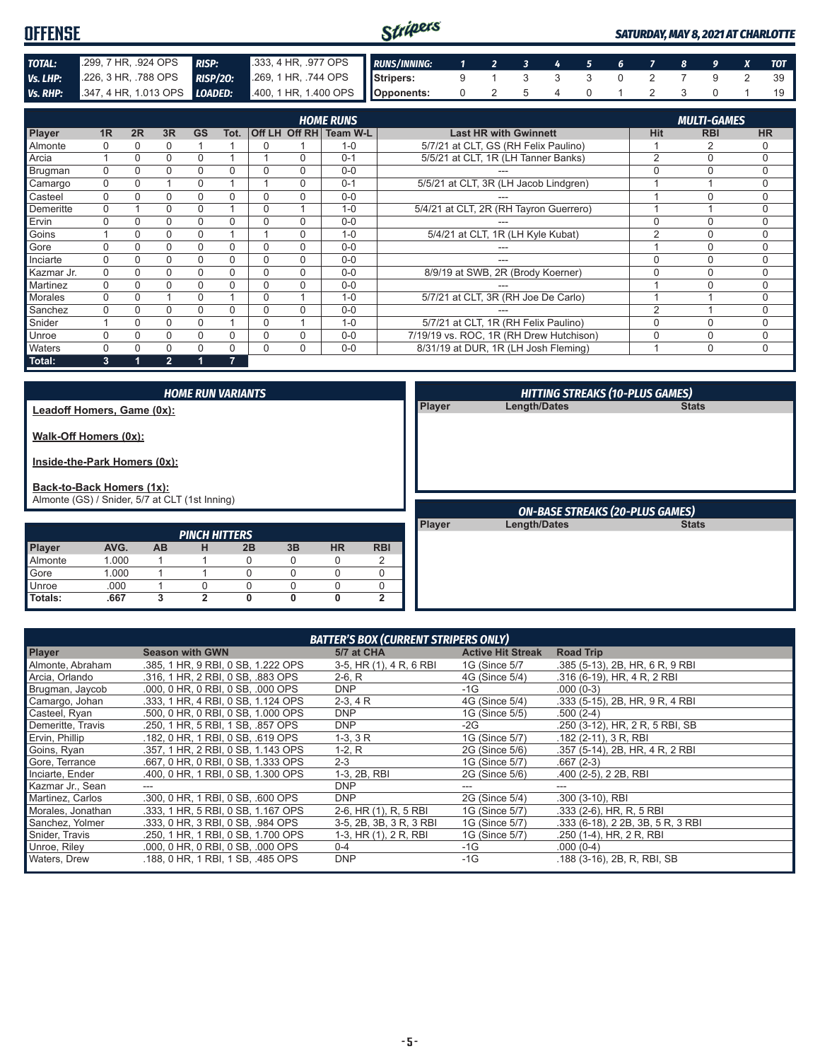| <b>OFFENSE</b>  |                              |                 |                                 | Stripers |  |                                                                                              |  |  |  | <b>SATURDAY, MAY 8, 2021 AT CHARLOTTE</b> |
|-----------------|------------------------------|-----------------|---------------------------------|----------|--|----------------------------------------------------------------------------------------------|--|--|--|-------------------------------------------|
| <b>TOTAL:</b>   | 299, 7 HR, 924 OPS           | <b>RISP:</b>    | 333, 4 HR, 977 OPS RUNS/INNING: |          |  | $\begin{array}{cccccccccccccccccc} 1 & 2 & 3 & 4 & \overline{5} & 6 & 7 & 8 & 9 \end{array}$ |  |  |  |                                           |
| Vs. LHP:        | 226, 3 HR, 788 OPS           | <b>RISP/20:</b> | 269, 1 HR, .744 OPS Stripers:   |          |  |                                                                                              |  |  |  |                                           |
| <b>Vs. RHP:</b> | 347, 4 HR, 1.013 OPS LOADED: |                 | 400, 1 HR, 1.400 OPS Opponents: |          |  |                                                                                              |  |  |  |                                           |

|                |                |          |                |           |                |          |          | <b>HOME RUNS</b>       |                                         |            | <b>MULTI-GAMES</b> |             |
|----------------|----------------|----------|----------------|-----------|----------------|----------|----------|------------------------|-----------------------------------------|------------|--------------------|-------------|
| Player         | 1 <sub>R</sub> | 2R       | 3R             | <b>GS</b> | Tot.           |          |          | Off LH_Off RH Team W-L | <b>Last HR with Gwinnett</b>            | <b>Hit</b> | <b>RBI</b>         | <b>HR</b>   |
| Almonte        | $\Omega$       | 0        |                |           |                | 0        |          | $1 - 0$                | 5/7/21 at CLT, GS (RH Felix Paulino)    |            |                    | 0           |
| Arcia          |                | 0        |                | 0         |                |          | $\Omega$ | $0 - 1$                | 5/5/21 at CLT, 1R (LH Tanner Banks)     | $\Omega$   | $\Omega$           | 0           |
| Brugman        | $\Omega$       | 0        |                | 0         | 0              |          | $\Omega$ | $0 - 0$                |                                         |            | n                  | 0           |
| Camargo        | $\Omega$       | $\Omega$ |                | 0         |                |          | $\Omega$ | $0 - 1$                | 5/5/21 at CLT, 3R (LH Jacob Lindgren)   |            |                    | 0           |
| Casteel        | $\Omega$       | $\Omega$ | $\Omega$       | 0         | 0              | $\Omega$ | $\Omega$ | $0 - 0$                | ---                                     |            | C                  | 0           |
| Demeritte      | $\Omega$       |          |                | 0         |                | 0        |          | $1 - 0$                | 5/4/21 at CLT, 2R (RH Tayron Guerrero)  |            |                    | 0           |
| Ervin          | $\Omega$       | O        |                |           | 0              |          | $\Omega$ | $0 - 0$                |                                         |            | C                  | 0           |
| Goins          |                | 0        |                | $\Omega$  |                |          | $\Omega$ | $1 - 0$                | 5/4/21 at CLT, 1R (LH Kyle Kubat)       | $\sim$     | $\cap$             | 0           |
| Gore           |                | 0        | $\Omega$       |           | 0              |          | $\Omega$ | $0 - 0$                |                                         |            | C                  | 0           |
| Inciarte       | $\Omega$       | 0        | 0              | 0         | 0              | 0        | $\Omega$ | $0 - 0$                | ---                                     |            | n                  | 0           |
| Kazmar Jr.     | $\Omega$       | 0        | 0              | 0         | 0              | $\Omega$ | $\Omega$ | $0 - 0$                | 8/9/19 at SWB, 2R (Brody Koerner)       |            | $\cap$             | 0           |
| Martinez       | $\Omega$       | 0        |                |           | 0              | $\Omega$ | $\Omega$ | $0 - 0$                |                                         |            | C                  | 0           |
| <b>Morales</b> | $\Omega$       | 0        |                | 0         |                |          |          | $1 - 0$                | 5/7/21 at CLT, 3R (RH Joe De Carlo)     |            |                    | 0           |
| Sanchez        | $\Omega$       | 0        |                | 0         | 0              |          | $\Omega$ | $0 - 0$                |                                         | $\sim$     |                    | 0           |
| Snider         |                | $\Omega$ | $\Omega$       | 0         |                | $\Omega$ |          | $1 - 0$                | 5/7/21 at CLT, 1R (RH Felix Paulino)    |            | $\cap$             | 0           |
| Unroe          |                | 0        | 0              | 0         | 0              | $\Omega$ | $\Omega$ | $0 - 0$                | 7/19/19 vs. ROC, 1R (RH Drew Hutchison) | $\Omega$   | $\Omega$           | 0           |
| Waters         | $\Omega$       |          |                |           | 0              | $\Omega$ | $\Omega$ | $0 - 0$                | 8/31/19 at DUR, 1R (LH Josh Fleming)    |            | $\Omega$           | $\mathbf 0$ |
| Total:         | 3              |          | $\overline{2}$ |           | $\overline{7}$ |          |          |                        |                                         |            |                    |             |

|                                                                             |       |           |                      | <b>HOME RUN VARIANTS</b> |    |           |              |               | <b>HITTING STREAKS (10-PLUS GAMES)</b> |              |
|-----------------------------------------------------------------------------|-------|-----------|----------------------|--------------------------|----|-----------|--------------|---------------|----------------------------------------|--------------|
| Leadoff Homers, Game (0x):                                                  |       |           |                      |                          |    |           |              | Player        | Length/Dates                           | <b>Stats</b> |
| Walk-Off Homers (0x):<br>Inside-the-Park Homers (0x):                       |       |           |                      |                          |    |           |              |               |                                        |              |
| Back-to-Back Homers (1x):<br>Almonte (GS) / Snider, 5/7 at CLT (1st Inning) |       |           |                      |                          |    |           |              |               |                                        |              |
|                                                                             |       |           |                      |                          |    |           |              |               | <b>ON-BASE STREAKS (20-PLUS GAMES)</b> |              |
|                                                                             |       |           |                      |                          |    |           |              | <b>Player</b> | <b>Length/Dates</b>                    | <b>Stats</b> |
|                                                                             |       |           | <b>PINCH HITTERS</b> |                          |    |           |              |               |                                        |              |
| Player                                                                      | AVG.  | <b>AB</b> | н                    | 2B                       | 3B | <b>HR</b> | <b>RBI</b>   |               |                                        |              |
| Almonte                                                                     |       |           |                      |                          |    |           |              |               |                                        |              |
|                                                                             | 1.000 |           |                      | 0                        | 0  | 0         | 2            |               |                                        |              |
| Gore                                                                        | 1.000 |           |                      | $\Omega$                 | 0  | 0         | 0            |               |                                        |              |
| Unroe                                                                       | .000  |           | $\Omega$             | 0                        | 0  | 0         | 0            |               |                                        |              |
| Totals:                                                                     | .667  | 3         | $\mathbf{2}$         | 0                        | 0  | 0         | $\mathbf{2}$ |               |                                        |              |

| <b>BATTER'S BOX (CURRENT STRIPERS ONLY)</b> |                                    |                         |                          |                                   |  |  |  |  |  |  |  |
|---------------------------------------------|------------------------------------|-------------------------|--------------------------|-----------------------------------|--|--|--|--|--|--|--|
| <b>Player</b>                               | <b>Season with GWN</b>             | 5/7 at CHA              | <b>Active Hit Streak</b> | <b>Road Trip</b>                  |  |  |  |  |  |  |  |
| Almonte, Abraham                            | .385, 1 HR, 9 RBI, 0 SB, 1.222 OPS | 3-5, HR (1), 4 R, 6 RBI | 1G (Since 5/7            | .385 (5-13), 2B, HR, 6 R, 9 RBI   |  |  |  |  |  |  |  |
| Arcia, Orlando                              | .316, 1 HR, 2 RBI, 0 SB, .883 OPS  | $2-6, R$                | 4G (Since 5/4)           | .316 (6-19), HR, 4 R, 2 RBI       |  |  |  |  |  |  |  |
| Brugman, Jaycob                             | .000, 0 HR, 0 RBI, 0 SB, .000 OPS  | <b>DNP</b>              | $-1G$                    | $.000(0-3)$                       |  |  |  |  |  |  |  |
| Camargo, Johan                              | .333, 1 HR, 4 RBI, 0 SB, 1.124 OPS | $2-3, 4R$               | 4G (Since 5/4)           | .333 (5-15), 2B, HR, 9 R, 4 RBI   |  |  |  |  |  |  |  |
| Casteel, Ryan                               | .500, 0 HR, 0 RBI, 0 SB, 1.000 OPS | <b>DNP</b>              | 1G (Since 5/5)           | $.500(2-4)$                       |  |  |  |  |  |  |  |
| Demeritte, Travis                           | .250, 1 HR, 5 RBI, 1 SB, .857 OPS  | <b>DNP</b>              | -2G                      | .250 (3-12), HR, 2 R, 5 RBI, SB   |  |  |  |  |  |  |  |
| Ervin, Phillip                              | .182, 0 HR, 1 RBI, 0 SB, .619 OPS  | $1-3, 3R$               | 1G (Since 5/7)           | $.182$ (2-11), 3 R, RBI           |  |  |  |  |  |  |  |
| Goins, Ryan                                 | .357, 1 HR, 2 RBI, 0 SB, 1.143 OPS | $1-2, R$                | 2G (Since 5/6)           | .357 (5-14), 2B, HR, 4 R, 2 RBI   |  |  |  |  |  |  |  |
| Gore, Terrance                              | .667, 0 HR, 0 RBI, 0 SB, 1.333 OPS | $2 - 3$                 | 1G (Since 5/7)           | $.667(2-3)$                       |  |  |  |  |  |  |  |
| Inciarte, Ender                             | .400, 0 HR, 1 RBI, 0 SB, 1,300 OPS | 1-3, 2B, RBI            | 2G (Since 5/6)           | .400 (2-5), 2 2B, RBI             |  |  |  |  |  |  |  |
| Kazmar Jr., Sean                            | ---                                | <b>DNP</b>              | ---                      | ---                               |  |  |  |  |  |  |  |
| Martinez, Carlos                            | .300, 0 HR, 1 RBI, 0 SB, .600 OPS  | <b>DNP</b>              | 2G (Since 5/4)           | .300 (3-10), RBI                  |  |  |  |  |  |  |  |
| Morales, Jonathan                           | .333, 1 HR, 5 RBI, 0 SB, 1.167 OPS | 2-6, HR (1), R, 5 RBI   | 1G (Since 5/7)           | .333 (2-6), HR, R, 5 RBI          |  |  |  |  |  |  |  |
| Sanchez, Yolmer                             | .333. 0 HR. 3 RBI. 0 SB. .984 OPS  | 3-5, 2B, 3B, 3 R, 3 RBI | 1G (Since 5/7)           | .333 (6-18), 2 2B, 3B, 5 R, 3 RBI |  |  |  |  |  |  |  |
| Snider, Travis                              | .250, 1 HR, 1 RBI, 0 SB, 1.700 OPS | 1-3, HR (1), 2 R, RBI   | 1G (Since 5/7)           | .250 (1-4), HR, 2 R, RBI          |  |  |  |  |  |  |  |
| Unroe, Riley                                | .000, 0 HR, 0 RBI, 0 SB, .000 OPS  | $0 - 4$                 | -1G                      | $.000(0-4)$                       |  |  |  |  |  |  |  |
| Waters, Drew                                | .188, 0 HR, 1 RBI, 1 SB, .485 OPS  | <b>DNP</b>              | $-1G$                    | .188 (3-16), 2B, R, RBI, SB       |  |  |  |  |  |  |  |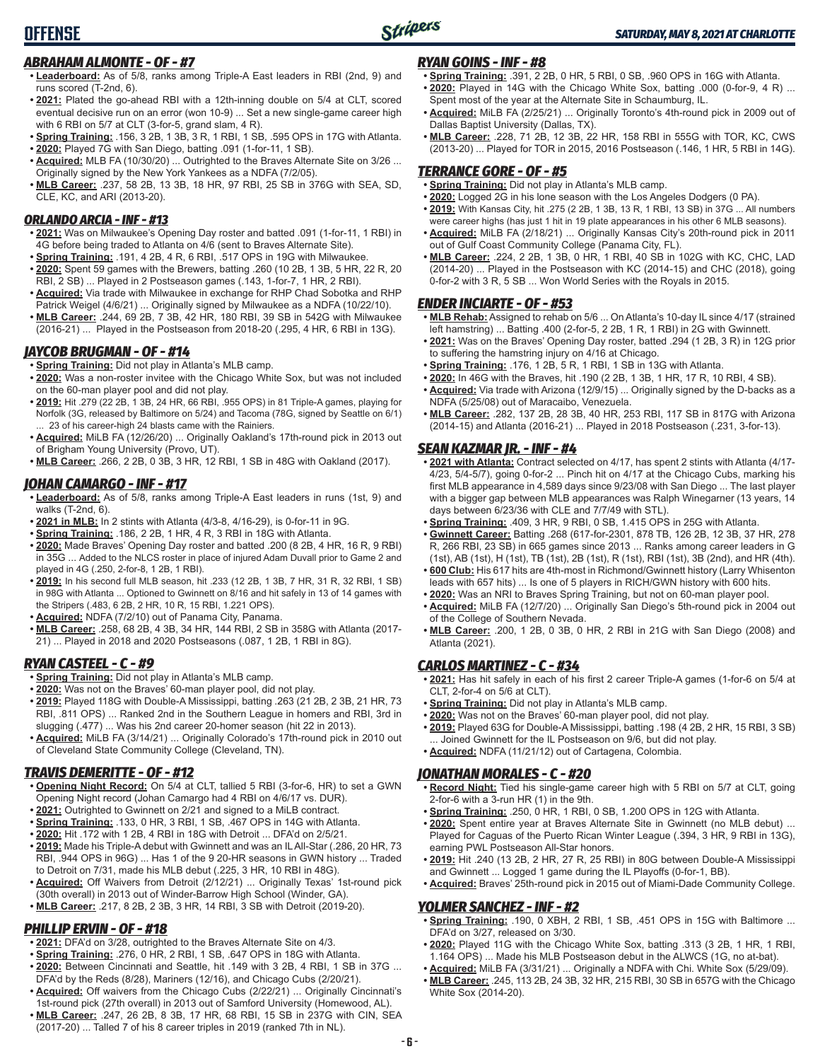# *ABRAHAM ALMONTE - OF - #7*

**OFFENSE**

- **• Leaderboard:** As of 5/8, ranks among Triple-A East leaders in RBI (2nd, 9) and runs scored (T-2nd, 6).
- **• 2021:** Plated the go-ahead RBI with a 12th-inning double on 5/4 at CLT, scored eventual decisive run on an error (won 10-9) ... Set a new single-game career high with 6 RBI on 5/7 at CLT (3-for-5, grand slam, 4 R).
- **• Spring Training:** .156, 3 2B, 1 3B, 3 R, 1 RBI, 1 SB, .595 OPS in 17G with Atlanta.
- **• 2020:** Played 7G with San Diego, batting .091 (1-for-11, 1 SB). **• Acquired:** MLB FA (10/30/20) ... Outrighted to the Braves Alternate Site on 3/26 ...
- Originally signed by the New York Yankees as a NDFA (7/2/05).
- **• MLB Career:** .237, 58 2B, 13 3B, 18 HR, 97 RBI, 25 SB in 376G with SEA, SD, CLE, KC, and ARI (2013-20).

#### *ORLANDO ARCIA - INF - #13*

- **• 2021:** Was on Milwaukee's Opening Day roster and batted .091 (1-for-11, 1 RBI) in 4G before being traded to Atlanta on 4/6 (sent to Braves Alternate Site).
- **• Spring Training:** .191, 4 2B, 4 R, 6 RBI, .517 OPS in 19G with Milwaukee.
- **• 2020:** Spent 59 games with the Brewers, batting .260 (10 2B, 1 3B, 5 HR, 22 R, 20 RBI, 2 SB) ... Played in 2 Postseason games (.143, 1-for-7, 1 HR, 2 RBI).
- **• Acquired:** Via trade with Milwaukee in exchange for RHP Chad Sobotka and RHP Patrick Weigel (4/6/21) ... Originally signed by Milwaukee as a NDFA (10/22/10).
- **• MLB Career:** .244, 69 2B, 7 3B, 42 HR, 180 RBI, 39 SB in 542G with Milwaukee (2016-21) ... Played in the Postseason from 2018-20 (.295, 4 HR, 6 RBI in 13G).

#### *JAYCOB BRUGMAN - OF - #14*

- **• Spring Training:** Did not play in Atlanta's MLB camp.
- **• 2020:** Was a non-roster invitee with the Chicago White Sox, but was not included on the 60-man player pool and did not play.
- **• 2019:** Hit .279 (22 2B, 1 3B, 24 HR, 66 RBI, .955 OPS) in 81 Triple-A games, playing for Norfolk (3G, released by Baltimore on 5/24) and Tacoma (78G, signed by Seattle on 6/1) 23 of his career-high 24 blasts came with the Rainiers.
- **• Acquired:** MiLB FA (12/26/20) ... Originally Oakland's 17th-round pick in 2013 out of Brigham Young University (Provo, UT).
- **• MLB Career:** .266, 2 2B, 0 3B, 3 HR, 12 RBI, 1 SB in 48G with Oakland (2017).

### *JOHAN CAMARGO - INF - #17*

- **• Leaderboard:** As of 5/8, ranks among Triple-A East leaders in runs (1st, 9) and walks (T-2nd, 6).
- **• 2021 in MLB:** In 2 stints with Atlanta (4/3-8, 4/16-29), is 0-for-11 in 9G.
- **• Spring Training:** .186, 2 2B, 1 HR, 4 R, 3 RBI in 18G with Atlanta.
- **• 2020:** Made Braves' Opening Day roster and batted .200 (8 2B, 4 HR, 16 R, 9 RBI) in 35G ... Added to the NLCS roster in place of injured Adam Duvall prior to Game 2 and played in 4G (.250, 2-for-8, 1 2B, 1 RBI).
- **• 2019:** In his second full MLB season, hit .233 (12 2B, 1 3B, 7 HR, 31 R, 32 RBI, 1 SB) in 98G with Atlanta ... Optioned to Gwinnett on 8/16 and hit safely in 13 of 14 games with the Stripers (.483, 6 2B, 2 HR, 10 R, 15 RBI, 1.221 OPS).
- **• Acquired:** NDFA (7/2/10) out of Panama City, Panama.
- **• MLB Career:** .258, 68 2B, 4 3B, 34 HR, 144 RBI, 2 SB in 358G with Atlanta (2017- 21) ... Played in 2018 and 2020 Postseasons (.087, 1 2B, 1 RBI in 8G).

#### *RYAN CASTEEL - C - #9*

- **• Spring Training:** Did not play in Atlanta's MLB camp.
- **• 2020:** Was not on the Braves' 60-man player pool, did not play.
- **• 2019:** Played 118G with Double-A Mississippi, batting .263 (21 2B, 2 3B, 21 HR, 73 RBI, .811 OPS) ... Ranked 2nd in the Southern League in homers and RBI, 3rd in slugging (.477) ... Was his 2nd career 20-homer season (hit 22 in 2013).
- **• Acquired:** MiLB FA (3/14/21) ... Originally Colorado's 17th-round pick in 2010 out of Cleveland State Community College (Cleveland, TN).

### *TRAVIS DEMERITTE - OF - #12*

- **• Opening Night Record:** On 5/4 at CLT, tallied 5 RBI (3-for-6, HR) to set a GWN Opening Night record (Johan Camargo had 4 RBI on 4/6/17 vs. DUR).
- **• 2021:** Outrighted to Gwinnett on 2/21 and signed to a MiLB contract.
- **• Spring Training:** .133, 0 HR, 3 RBI, 1 SB, .467 OPS in 14G with Atlanta.
- **• 2020:** Hit .172 with 1 2B, 4 RBI in 18G with Detroit ... DFA'd on 2/5/21.
- **• 2019:** Made his Triple-A debut with Gwinnett and was an IL All-Star (.286, 20 HR, 73 RBI, .944 OPS in 96G) ... Has 1 of the 9 20-HR seasons in GWN history ... Traded to Detroit on 7/31, made his MLB debut (.225, 3 HR, 10 RBI in 48G).
- **• Acquired:** Off Waivers from Detroit (2/12/21) ... Originally Texas' 1st-round pick (30th overall) in 2013 out of Winder-Barrow High School (Winder, GA).
- **• MLB Career:** .217, 8 2B, 2 3B, 3 HR, 14 RBI, 3 SB with Detroit (2019-20).

#### *PHILLIP ERVIN - OF - #18*

- **• 2021:** DFA'd on 3/28, outrighted to the Braves Alternate Site on 4/3.
- **• Spring Training:** .276, 0 HR, 2 RBI, 1 SB, .647 OPS in 18G with Atlanta.
- **• 2020:** Between Cincinnati and Seattle, hit .149 with 3 2B, 4 RBI, 1 SB in 37G ... DFA'd by the Reds (8/28), Mariners (12/16), and Chicago Cubs (2/20/21).
- **• Acquired:** Off waivers from the Chicago Cubs (2/22/21) ... Originally Cincinnati's 1st-round pick (27th overall) in 2013 out of Samford University (Homewood, AL).
- **• MLB Career:** .247, 26 2B, 8 3B, 17 HR, 68 RBI, 15 SB in 237G with CIN, SEA (2017-20) ... Talled 7 of his 8 career triples in 2019 (ranked 7th in NL).

#### *RYAN GOINS - INF - #8*

- **• Spring Training:** .391, 2 2B, 0 HR, 5 RBI, 0 SB, .960 OPS in 16G with Atlanta. **• 2020:** Played in 14G with the Chicago White Sox, batting .000 (0-for-9, 4 R) ... Spent most of the year at the Alternate Site in Schaumburg, IL.
- **• Acquired:** MiLB FA (2/25/21) ... Originally Toronto's 4th-round pick in 2009 out of Dallas Baptist University (Dallas, TX).
- **• MLB Career:** .228, 71 2B, 12 3B, 22 HR, 158 RBI in 555G with TOR, KC, CWS (2013-20) ... Played for TOR in 2015, 2016 Postseason (.146, 1 HR, 5 RBI in 14G).

#### *TERRANCE GORE - OF - #5*

- **• Spring Training:** Did not play in Atlanta's MLB camp.
- **• 2020:** Logged 2G in his lone season with the Los Angeles Dodgers (0 PA).
- **• 2019:** With Kansas City, hit .275 (2 2B, 1 3B, 13 R, 1 RBI, 13 SB) in 37G ... All numbers were career highs (has just 1 hit in 19 plate appearances in his other 6 MLB seasons).
- **• Acquired:** MiLB FA (2/18/21) ... Originally Kansas City's 20th-round pick in 2011 out of Gulf Coast Community College (Panama City, FL).
- **• MLB Career:** .224, 2 2B, 1 3B, 0 HR, 1 RBI, 40 SB in 102G with KC, CHC, LAD (2014-20) ... Played in the Postseason with KC (2014-15) and CHC (2018), going 0-for-2 with 3 R, 5 SB ... Won World Series with the Royals in 2015.

#### *ENDER INCIARTE - OF - #53*

- **• MLB Rehab:** Assigned to rehab on 5/6 ... On Atlanta's 10-day IL since 4/17 (strained left hamstring) ... Batting .400 (2-for-5, 2 2B, 1 R, 1 RBI) in 2G with Gwinnett.
- **• 2021:** Was on the Braves' Opening Day roster, batted .294 (1 2B, 3 R) in 12G prior to suffering the hamstring injury on 4/16 at Chicago.
- **• Spring Training:** .176, 1 2B, 5 R, 1 RBI, 1 SB in 13G with Atlanta.
- **• 2020:** In 46G with the Braves, hit .190 (2 2B, 1 3B, 1 HR, 17 R, 10 RBI, 4 SB).
- **• Acquired:** Via trade with Arizona (12/9/15) ... Originally signed by the D-backs as a NDFA (5/25/08) out of Maracaibo, Venezuela.
- **• MLB Career:** .282, 137 2B, 28 3B, 40 HR, 253 RBI, 117 SB in 817G with Arizona (2014-15) and Atlanta (2016-21) ... Played in 2018 Postseason (.231, 3-for-13).

#### *SEAN KAZMAR JR. - INF - #4*

- **• 2021 with Atlanta:** Contract selected on 4/17, has spent 2 stints with Atlanta (4/17- 4/23, 5/4-5/7), going 0-for-2 ... Pinch hit on 4/17 at the Chicago Cubs, marking his first MLB appearance in 4,589 days since 9/23/08 with San Diego ... The last player with a bigger gap between MLB appearances was Ralph Winegarner (13 years, 14 days between 6/23/36 with CLE and 7/7/49 with STL).
- **• Spring Training:** .409, 3 HR, 9 RBI, 0 SB, 1.415 OPS in 25G with Atlanta.
- **• Gwinnett Career:** Batting .268 (617-for-2301, 878 TB, 126 2B, 12 3B, 37 HR, 278 R, 266 RBI, 23 SB) in 665 games since 2013 ... Ranks among career leaders in G (1st), AB (1st), H (1st), TB (1st), 2B (1st), R (1st), RBI (1st), 3B (2nd), and HR (4th).
- **• 600 Club:** His 617 hits are 4th-most in Richmond/Gwinnett history (Larry Whisenton leads with 657 hits) ... Is one of 5 players in RICH/GWN history with 600 hits.
- **• 2020:** Was an NRI to Braves Spring Training, but not on 60-man player pool.
- **• Acquired:** MiLB FA (12/7/20) ... Originally San Diego's 5th-round pick in 2004 out of the College of Southern Nevada.
- **• MLB Career:** .200, 1 2B, 0 3B, 0 HR, 2 RBI in 21G with San Diego (2008) and Atlanta (2021).

#### *CARLOS MARTINEZ - C - #34*

- **• 2021:** Has hit safely in each of his first 2 career Triple-A games (1-for-6 on 5/4 at CLT, 2-for-4 on 5/6 at CLT).
- **• Spring Training:** Did not play in Atlanta's MLB camp.
- **• 2020:** Was not on the Braves' 60-man player pool, did not play.
- **• 2019:** Played 63G for Double-A Mississippi, batting .198 (4 2B, 2 HR, 15 RBI, 3 SB) ... Joined Gwinnett for the IL Postseason on 9/6, but did not play.
- **• Acquired:** NDFA (11/21/12) out of Cartagena, Colombia.

#### *JONATHAN MORALES - C - #20*

- **• Record Night:** Tied his single-game career high with 5 RBI on 5/7 at CLT, going 2-for-6 with a 3-run HR (1) in the 9th.
- **• Spring Training:** .250, 0 HR, 1 RBI, 0 SB, 1.200 OPS in 12G with Atlanta.
- **• 2020:** Spent entire year at Braves Alternate Site in Gwinnett (no MLB debut) ... Played for Caguas of the Puerto Rican Winter League (.394, 3 HR, 9 RBI in 13G), earning PWL Postseason All-Star honors.
- **• 2019:** Hit .240 (13 2B, 2 HR, 27 R, 25 RBI) in 80G between Double-A Mississippi and Gwinnett ... Logged 1 game during the IL Playoffs (0-for-1, BB).
- **• Acquired:** Braves' 25th-round pick in 2015 out of Miami-Dade Community College.

# *YOLMER SANCHEZ - INF - #2*

- **• Spring Training:** .190, 0 XBH, 2 RBI, 1 SB, .451 OPS in 15G with Baltimore ... DFA'd on 3/27, released on 3/30.
- **• 2020:** Played 11G with the Chicago White Sox, batting .313 (3 2B, 1 HR, 1 RBI, 1.164 OPS) ... Made his MLB Postseason debut in the ALWCS (1G, no at-bat).
- **• Acquired:** MiLB FA (3/31/21) ... Originally a NDFA with Chi. White Sox (5/29/09). **• MLB Career:** .245, 113 2B, 24 3B, 32 HR, 215 RBI, 30 SB in 657G with the Chicago White Sox (2014-20).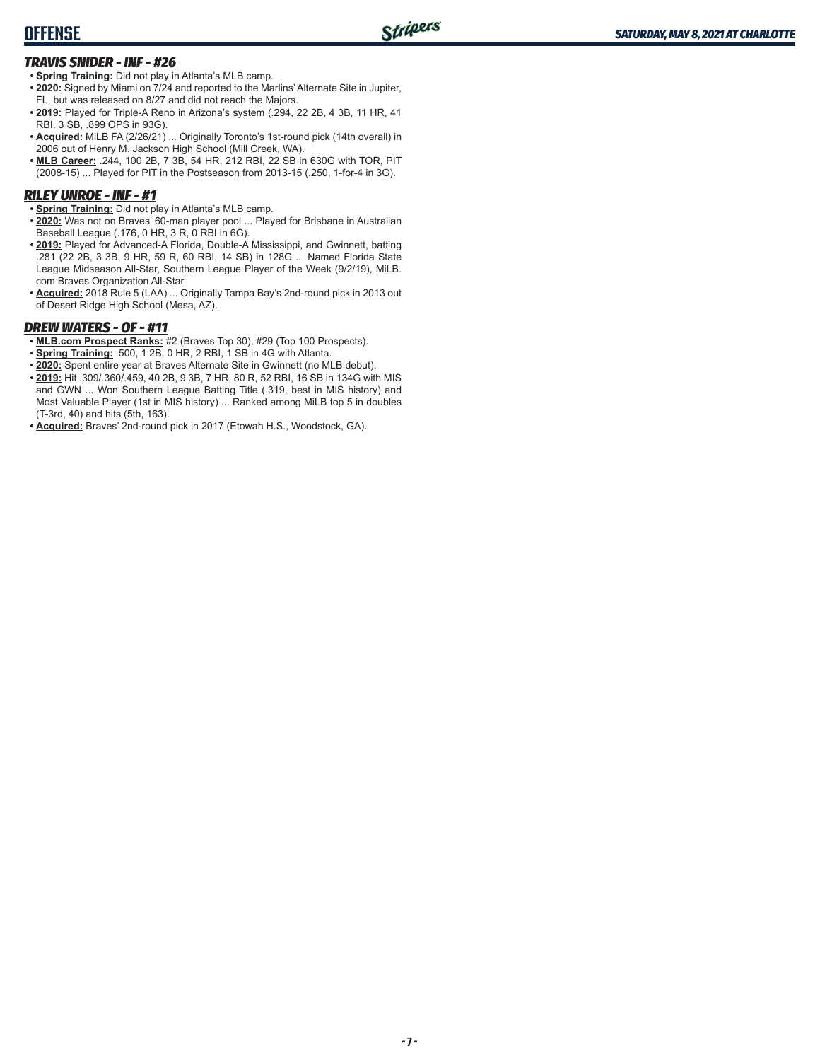# *TRAVIS SNIDER - INF - #26*

- **• Spring Training:** Did not play in Atlanta's MLB camp.
- **• 2020:** Signed by Miami on 7/24 and reported to the Marlins' Alternate Site in Jupiter, FL, but was released on 8/27 and did not reach the Majors.
- **• 2019:** Played for Triple-A Reno in Arizona's system (.294, 22 2B, 4 3B, 11 HR, 41 RBI, 3 SB, .899 OPS in 93G).
- **• Acquired:** MiLB FA (2/26/21) ... Originally Toronto's 1st-round pick (14th overall) in 2006 out of Henry M. Jackson High School (Mill Creek, WA).
- **• MLB Career:** .244, 100 2B, 7 3B, 54 HR, 212 RBI, 22 SB in 630G with TOR, PIT (2008-15) ... Played for PIT in the Postseason from 2013-15 (.250, 1-for-4 in 3G).

# *RILEY UNROE - INF - #1*

- **• Spring Training:** Did not play in Atlanta's MLB camp.
- **• 2020:** Was not on Braves' 60-man player pool ... Played for Brisbane in Australian Baseball League (.176, 0 HR, 3 R, 0 RBI in 6G).
- **• 2019:** Played for Advanced-A Florida, Double-A Mississippi, and Gwinnett, batting .281 (22 2B, 3 3B, 9 HR, 59 R, 60 RBI, 14 SB) in 128G ... Named Florida State League Midseason All-Star, Southern League Player of the Week (9/2/19), MiLB. com Braves Organization All-Star.
- **• Acquired:** 2018 Rule 5 (LAA) ... Originally Tampa Bay's 2nd-round pick in 2013 out of Desert Ridge High School (Mesa, AZ).

# *DREW WATERS - OF - #11*

- **• MLB.com Prospect Ranks:** #2 (Braves Top 30), #29 (Top 100 Prospects).
- **• Spring Training:** .500, 1 2B, 0 HR, 2 RBI, 1 SB in 4G with Atlanta.
- **• 2020:** Spent entire year at Braves Alternate Site in Gwinnett (no MLB debut).
- **• 2019:** Hit .309/.360/.459, 40 2B, 9 3B, 7 HR, 80 R, 52 RBI, 16 SB in 134G with MIS and GWN ... Won Southern League Batting Title (.319, best in MIS history) and Most Valuable Player (1st in MIS history) ... Ranked among MiLB top 5 in doubles (T-3rd, 40) and hits (5th, 163).
- **• Acquired:** Braves' 2nd-round pick in 2017 (Etowah H.S., Woodstock, GA).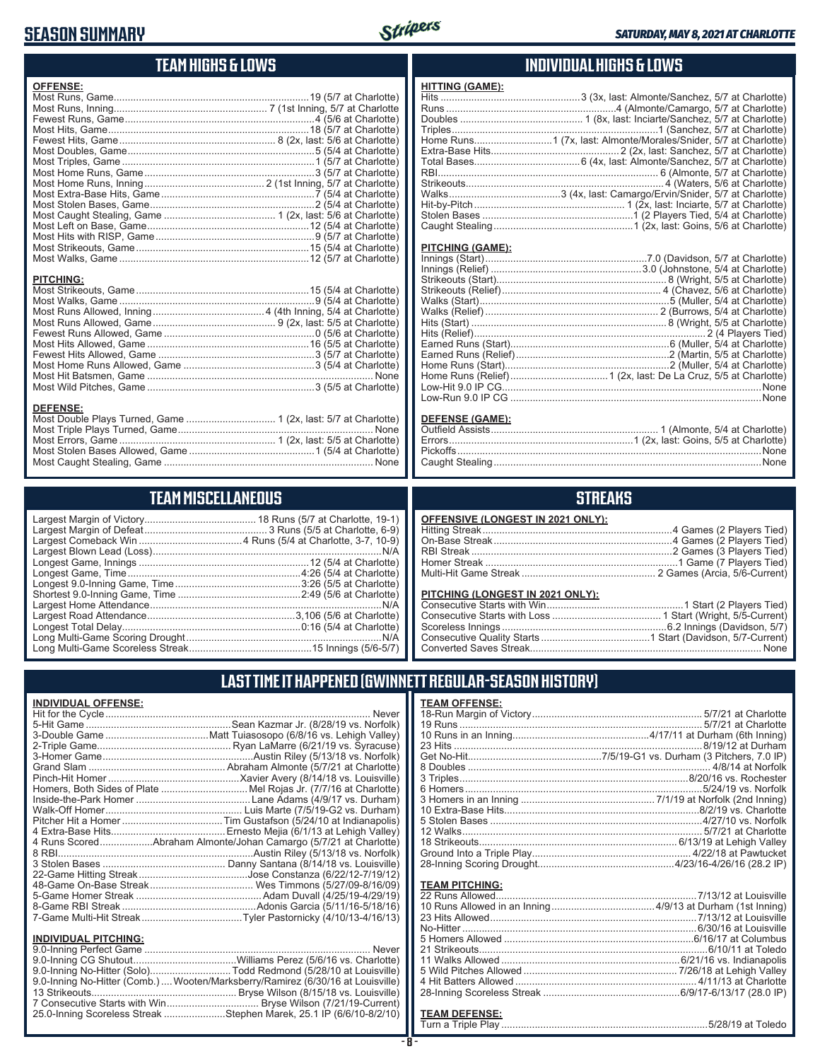# **SEASON SUMMARY**



# **TEAM HIGHS & LOWS**

| <b>OFFENSE:</b>  |  |
|------------------|--|
|                  |  |
|                  |  |
|                  |  |
|                  |  |
|                  |  |
|                  |  |
|                  |  |
|                  |  |
|                  |  |
|                  |  |
|                  |  |
|                  |  |
|                  |  |
|                  |  |
|                  |  |
|                  |  |
|                  |  |
|                  |  |
| <b>PITCHING:</b> |  |
|                  |  |
|                  |  |
|                  |  |
|                  |  |
|                  |  |
|                  |  |
|                  |  |
|                  |  |
|                  |  |
|                  |  |
|                  |  |
| <b>DEFENSE:</b>  |  |
|                  |  |
|                  |  |

# **TEAM MISCELLANEOUS**

Most Stolen Bases Allowed, Game .............................................1 (5/4 at Charlotte) Most Caught Stealing, Game ........................................................................... None

# **INDIVIDUAL HIGHS & LOWS**

| <b>HITTING (GAME):</b> |                                                                 |
|------------------------|-----------------------------------------------------------------|
|                        |                                                                 |
|                        |                                                                 |
|                        |                                                                 |
|                        |                                                                 |
|                        | Home Runs1 (7x, last: Almonte/Morales/Snider, 5/7 at Charlotte) |
|                        |                                                                 |
|                        |                                                                 |
|                        |                                                                 |
|                        |                                                                 |
|                        |                                                                 |
|                        |                                                                 |
|                        |                                                                 |
|                        |                                                                 |

#### **PITCHING (GAME):**

| <b>DEFENSE (GAME):</b> |                              |
|------------------------|------------------------------|
| Outfield Acciete       | 1 (Almonto 5/4 at Charlotto) |

# **STREAKS**

| OFFENSIVE (LONGEST IN 2021 ONLY): |  |
|-----------------------------------|--|
|                                   |  |
|                                   |  |
|                                   |  |
|                                   |  |
|                                   |  |

#### **PITCHING (LONGEST IN 2021 ONLY):**

# **LAST TIME IT HAPPENED (GWINNETT REGULAR-SEASON HISTORY)**

| <b>INDIVIDUAL OFFENSE:</b> |                                                                  |
|----------------------------|------------------------------------------------------------------|
|                            | Never                                                            |
|                            |                                                                  |
|                            |                                                                  |
|                            |                                                                  |
|                            |                                                                  |
|                            |                                                                  |
|                            |                                                                  |
|                            | Homers, Both Sides of Plate Mel Rojas Jr. (7/7/16 at Charlotte)  |
|                            |                                                                  |
|                            |                                                                  |
|                            |                                                                  |
|                            |                                                                  |
|                            | 4 Runs ScoredAbraham Almonte/Johan Camargo (5/7/21 at Charlotte) |
|                            |                                                                  |
|                            |                                                                  |
|                            |                                                                  |
|                            |                                                                  |
|                            |                                                                  |
|                            |                                                                  |
|                            |                                                                  |
| INDIVIDUAL PITCHING:       |                                                                  |

| <b>INDIVIDUAL PITCHING:</b> |                                                                                 |
|-----------------------------|---------------------------------------------------------------------------------|
|                             |                                                                                 |
|                             |                                                                                 |
|                             | 9.0-Inning No-Hitter (Solo)Todd Redmond (5/28/10 at Louisville)                 |
|                             | 9.0-Inning No-Hitter (Comb.)  Wooten/Marksberry/Ramirez (6/30/16 at Louisville) |
|                             |                                                                                 |
|                             |                                                                                 |
|                             | 25.0-Inning Scoreless Streak Stephen Marek, 25.1 IP (6/6/10-8/2/10)             |
|                             |                                                                                 |

| <b>TEAM OFFENSE:</b> |                   |
|----------------------|-------------------|
|                      |                   |
|                      |                   |
|                      |                   |
|                      | 8/19/12 at Durham |
|                      |                   |
|                      |                   |
|                      |                   |
|                      |                   |
|                      |                   |
|                      |                   |
|                      |                   |
|                      |                   |
|                      |                   |
|                      |                   |
|                      |                   |
|                      |                   |

# **TEAM PITCHING:**

#### **TEAM DEFENSE:**

Turn a Triple Play ..........................................................................5/28/19 at Toledo